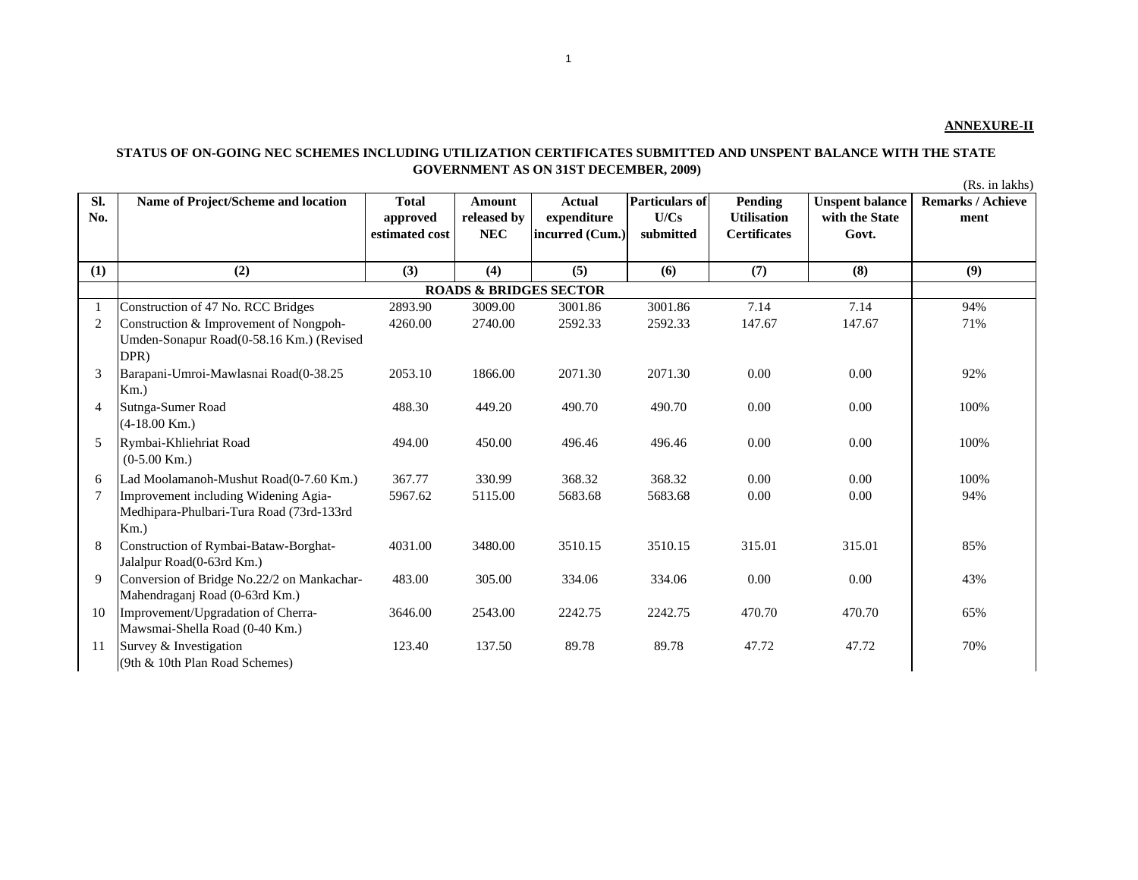## **STATUS OF ON-GOING NEC SCHEMES INCLUDING UTILIZATION CERTIFICATES SUBMITTED AND UNSPENT BALANCE WITH THE STATE GOVERNMENT AS ON 31ST DECEMBER, 2009)**

(Rs. in lakhs)

| SI.<br>No.     | <b>Name of Project/Scheme and location</b>                                                  | <b>Total</b><br>approved<br>estimated cost | <b>Amount</b><br>released by<br><b>NEC</b> | <b>Actual</b><br>expenditure<br>incurred (Cum.) | Particulars of<br>U/Cs<br>submitted | Pending<br><b>Utilisation</b><br><b>Certificates</b> | <b>Unspent balance</b><br>with the State<br>Govt. | <b>Remarks / Achieve</b><br>ment |
|----------------|---------------------------------------------------------------------------------------------|--------------------------------------------|--------------------------------------------|-------------------------------------------------|-------------------------------------|------------------------------------------------------|---------------------------------------------------|----------------------------------|
| (1)            | (2)                                                                                         | (3)                                        | (4)                                        | (5)                                             | (6)                                 | (7)                                                  | (8)                                               | (9)                              |
|                |                                                                                             |                                            | <b>ROADS &amp; BRIDGES SECTOR</b>          |                                                 |                                     |                                                      |                                                   |                                  |
|                | Construction of 47 No. RCC Bridges                                                          | 2893.90                                    | 3009.00                                    | 3001.86                                         | 3001.86                             | 7.14                                                 | 7.14                                              | 94%                              |
| $\overline{2}$ | Construction & Improvement of Nongpoh-<br>Umden-Sonapur Road(0-58.16 Km.) (Revised<br>DPR)  | 4260.00                                    | 2740.00                                    | 2592.33                                         | 2592.33                             | 147.67                                               | 147.67                                            | 71%                              |
| 3              | Barapani-Umroi-Mawlasnai Road(0-38.25<br>$Km.$ )                                            | 2053.10                                    | 1866.00                                    | 2071.30                                         | 2071.30                             | 0.00                                                 | 0.00                                              | 92%                              |
| $\overline{4}$ | Sutnga-Sumer Road<br>$(4-18.00$ Km.)                                                        | 488.30                                     | 449.20                                     | 490.70                                          | 490.70                              | 0.00                                                 | 0.00                                              | 100%                             |
| 5              | Rymbai-Khliehriat Road<br>$(0-5.00$ Km.)                                                    | 494.00                                     | 450.00                                     | 496.46                                          | 496.46                              | 0.00                                                 | 0.00                                              | 100%                             |
| 6              | Lad Moolamanoh-Mushut Road(0-7.60 Km.)                                                      | 367.77                                     | 330.99                                     | 368.32                                          | 368.32                              | 0.00                                                 | 0.00                                              | 100%                             |
| $\overline{7}$ | Improvement including Widening Agia-<br>Medhipara-Phulbari-Tura Road (73rd-133rd<br>$Km.$ ) | 5967.62                                    | 5115.00                                    | 5683.68                                         | 5683.68                             | 0.00                                                 | 0.00                                              | 94%                              |
| 8              | Construction of Rymbai-Bataw-Borghat-<br>Jalalpur Road(0-63rd Km.)                          | 4031.00                                    | 3480.00                                    | 3510.15                                         | 3510.15                             | 315.01                                               | 315.01                                            | 85%                              |
| 9              | Conversion of Bridge No.22/2 on Mankachar-<br>Mahendraganj Road (0-63rd Km.)                | 483.00                                     | 305.00                                     | 334.06                                          | 334.06                              | 0.00                                                 | 0.00                                              | 43%                              |
| 10             | Improvement/Upgradation of Cherra-<br>Mawsmai-Shella Road (0-40 Km.)                        | 3646.00                                    | 2543.00                                    | 2242.75                                         | 2242.75                             | 470.70                                               | 470.70                                            | 65%                              |
| 11             | Survey & Investigation<br>(9th & 10th Plan Road Schemes)                                    | 123.40                                     | 137.50                                     | 89.78                                           | 89.78                               | 47.72                                                | 47.72                                             | 70%                              |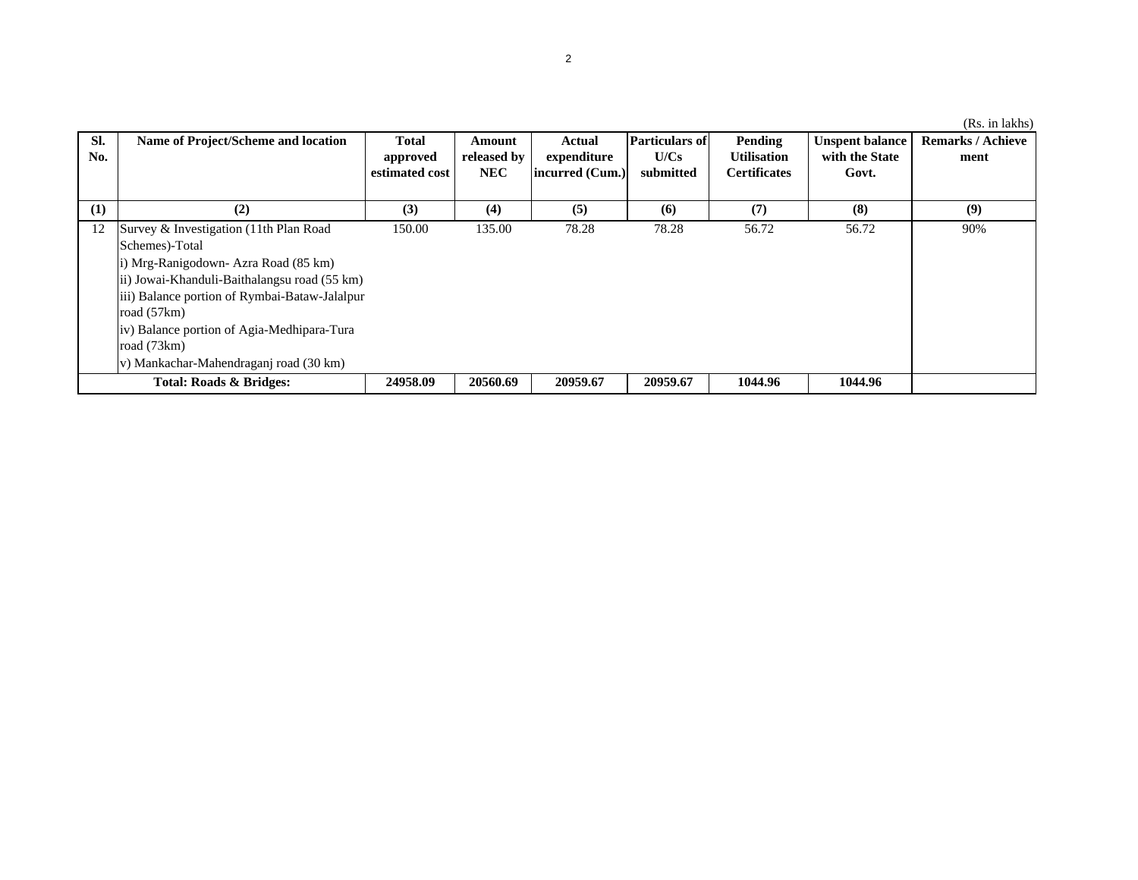|                         |                                               |                |             |                 |                       |                     |                        | (Rs. in lakhs)           |
|-------------------------|-----------------------------------------------|----------------|-------------|-----------------|-----------------------|---------------------|------------------------|--------------------------|
| SI.                     | <b>Name of Project/Scheme and location</b>    | <b>Total</b>   | Amount      | Actual          | <b>Particulars of</b> | Pending             | <b>Unspent balance</b> | <b>Remarks / Achieve</b> |
| No.                     |                                               | approved       | released by | expenditure     | U/Cs                  | <b>Utilisation</b>  | with the State         | ment                     |
|                         |                                               | estimated cost | NEC         | incurred (Cum.) | submitted             | <b>Certificates</b> | Govt.                  |                          |
|                         |                                               |                |             |                 |                       |                     |                        |                          |
| (1)                     | (2)                                           | (3)            | (4)         | (5)             | (6)                   | (7)                 | (8)                    | (9)                      |
| 12                      | Survey & Investigation (11th Plan Road        | 150.00         | 135.00      | 78.28           | 78.28                 | 56.72               | 56.72                  | 90%                      |
|                         | Schemes)-Total                                |                |             |                 |                       |                     |                        |                          |
|                         | i) Mrg-Ranigodown- Azra Road (85 km)          |                |             |                 |                       |                     |                        |                          |
|                         | ii) Jowai-Khanduli-Baithalangsu road (55 km)  |                |             |                 |                       |                     |                        |                          |
|                         | iii) Balance portion of Rymbai-Bataw-Jalalpur |                |             |                 |                       |                     |                        |                          |
|                         | road $(57km)$                                 |                |             |                 |                       |                     |                        |                          |
|                         | iv) Balance portion of Agia-Medhipara-Tura    |                |             |                 |                       |                     |                        |                          |
|                         | road $(73km)$                                 |                |             |                 |                       |                     |                        |                          |
|                         | v) Mankachar-Mahendraganj road (30 km)        |                |             |                 |                       |                     |                        |                          |
| Total: Roads & Bridges: |                                               | 24958.09       | 20560.69    | 20959.67        | 20959.67              | 1044.96             | 1044.96                |                          |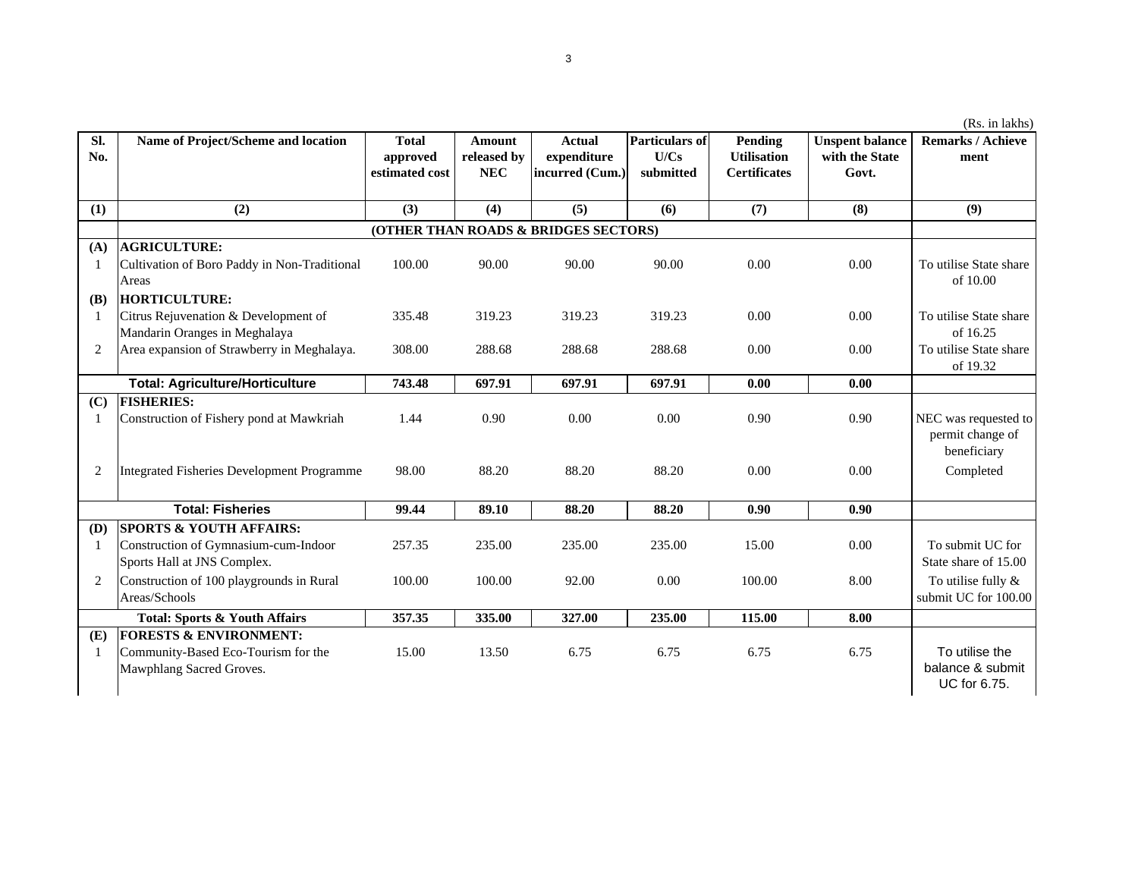|                |                                                                       |                                            |                                            |                                                 |                                            |                                                      |                                                   | (Rs. in lakhs)                                          |
|----------------|-----------------------------------------------------------------------|--------------------------------------------|--------------------------------------------|-------------------------------------------------|--------------------------------------------|------------------------------------------------------|---------------------------------------------------|---------------------------------------------------------|
| Sl.<br>No.     | Name of Project/Scheme and location                                   | <b>Total</b><br>approved<br>estimated cost | <b>Amount</b><br>released by<br><b>NEC</b> | <b>Actual</b><br>expenditure<br>incurred (Cum.) | <b>Particulars of</b><br>U/Cs<br>submitted | Pending<br><b>Utilisation</b><br><b>Certificates</b> | <b>Unspent balance</b><br>with the State<br>Govt. | <b>Remarks / Achieve</b><br>ment                        |
| (1)            | (2)                                                                   | (3)                                        | (4)                                        | (5)                                             | (6)                                        | (7)                                                  | (8)                                               | (9)                                                     |
|                |                                                                       |                                            |                                            | (OTHER THAN ROADS & BRIDGES SECTORS)            |                                            |                                                      |                                                   |                                                         |
| (A)            | <b>AGRICULTURE:</b>                                                   |                                            |                                            |                                                 |                                            |                                                      |                                                   |                                                         |
| -1             | Cultivation of Boro Paddy in Non-Traditional<br>Areas                 | 100.00                                     | 90.00                                      | 90.00                                           | 90.00                                      | 0.00                                                 | 0.00                                              | To utilise State share<br>of 10.00                      |
| (B)            | <b>HORTICULTURE:</b>                                                  |                                            |                                            |                                                 |                                            |                                                      |                                                   |                                                         |
| -1             | Citrus Rejuvenation & Development of<br>Mandarin Oranges in Meghalaya | 335.48                                     | 319.23                                     | 319.23                                          | 319.23                                     | 0.00                                                 | 0.00                                              | To utilise State share<br>of 16.25                      |
| $\overline{2}$ | Area expansion of Strawberry in Meghalaya.                            | 308.00                                     | 288.68                                     | 288.68                                          | 288.68                                     | 0.00                                                 | 0.00                                              | To utilise State share<br>of 19.32                      |
|                | <b>Total: Agriculture/Horticulture</b>                                | 743.48                                     | 697.91                                     | 697.91                                          | 697.91                                     | 0.00                                                 | 0.00                                              |                                                         |
| (C)            | <b>FISHERIES:</b>                                                     |                                            |                                            |                                                 |                                            |                                                      |                                                   |                                                         |
| 1              | Construction of Fishery pond at Mawkriah                              | 1.44                                       | 0.90                                       | 0.00                                            | 0.00                                       | 0.90                                                 | 0.90                                              | NEC was requested to<br>permit change of<br>beneficiary |
| $\overline{c}$ | <b>Integrated Fisheries Development Programme</b>                     | 98.00                                      | 88.20                                      | 88.20                                           | 88.20                                      | 0.00                                                 | 0.00                                              | Completed                                               |
|                | <b>Total: Fisheries</b>                                               | 99.44                                      | 89.10                                      | 88.20                                           | 88.20                                      | 0.90                                                 | 0.90                                              |                                                         |
| (D)            | <b>SPORTS &amp; YOUTH AFFAIRS:</b>                                    |                                            |                                            |                                                 |                                            |                                                      |                                                   |                                                         |
| 1              | Construction of Gymnasium-cum-Indoor<br>Sports Hall at JNS Complex.   | 257.35                                     | 235.00                                     | 235.00                                          | 235.00                                     | 15.00                                                | 0.00                                              | To submit UC for<br>State share of 15.00                |
| $\overline{2}$ | Construction of 100 playgrounds in Rural<br>Areas/Schools             | 100.00                                     | 100.00                                     | 92.00                                           | 0.00                                       | 100.00                                               | 8.00                                              | To utilise fully $\&$<br>submit UC for 100.00           |
|                | <b>Total: Sports &amp; Youth Affairs</b>                              | 357.35                                     | 335.00                                     | 327.00                                          | 235.00                                     | 115.00                                               | 8.00                                              |                                                         |
| (E)            | <b>FORESTS &amp; ENVIRONMENT:</b>                                     |                                            |                                            |                                                 |                                            |                                                      |                                                   |                                                         |
| $\mathbf{1}$   | Community-Based Eco-Tourism for the<br>Mawphlang Sacred Groves.       | 15.00                                      | 13.50                                      | 6.75                                            | 6.75                                       | 6.75                                                 | 6.75                                              | To utilise the<br>balance & submit<br>UC for 6.75.      |

3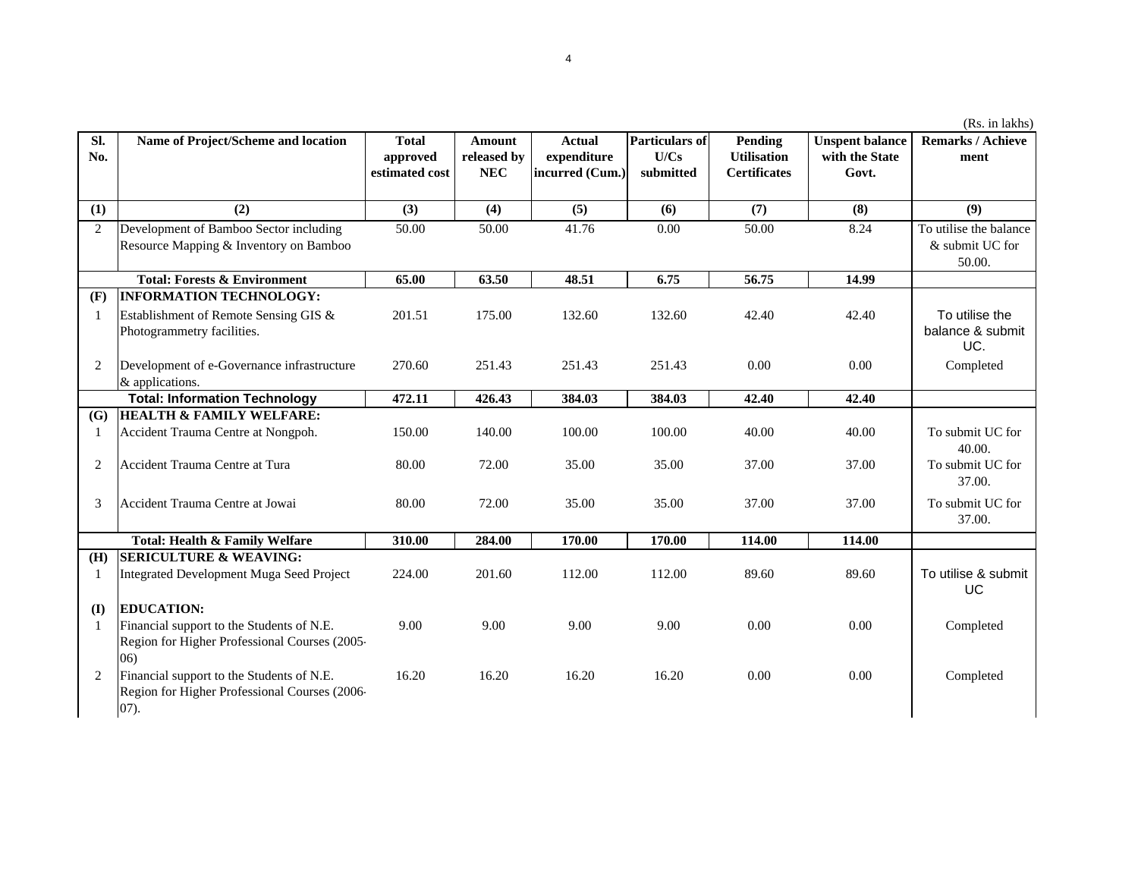|                |                                                                                                    |                                            |                                     |                                                 |                                            |                                                      |                                                   | (Rs. in lakhs)                                      |
|----------------|----------------------------------------------------------------------------------------------------|--------------------------------------------|-------------------------------------|-------------------------------------------------|--------------------------------------------|------------------------------------------------------|---------------------------------------------------|-----------------------------------------------------|
| SI.<br>No.     | Name of Project/Scheme and location                                                                | <b>Total</b><br>approved<br>estimated cost | Amount<br>released by<br><b>NEC</b> | <b>Actual</b><br>expenditure<br>incurred (Cum.) | <b>Particulars of</b><br>U/Cs<br>submitted | Pending<br><b>Utilisation</b><br><b>Certificates</b> | <b>Unspent balance</b><br>with the State<br>Govt. | Remarks / Achieve<br>ment                           |
| (1)            | (2)                                                                                                | (3)                                        | (4)                                 | (5)                                             | (6)                                        | (7)                                                  | (8)                                               | (9)                                                 |
| $\overline{c}$ | Development of Bamboo Sector including<br>Resource Mapping & Inventory on Bamboo                   | 50.00                                      | 50.00                               | 41.76                                           | 0.00                                       | 50.00                                                | 8.24                                              | To utilise the balance<br>& submit UC for<br>50.00. |
|                | <b>Total: Forests &amp; Environment</b>                                                            | 65.00                                      | 63.50                               | 48.51                                           | 6.75                                       | 56.75                                                | 14.99                                             |                                                     |
| (F)            | <b>INFORMATION TECHNOLOGY:</b>                                                                     |                                            |                                     |                                                 |                                            |                                                      |                                                   |                                                     |
| 1              | Establishment of Remote Sensing GIS &<br>Photogrammetry facilities.                                | 201.51                                     | 175.00                              | 132.60                                          | 132.60                                     | 42.40                                                | 42.40                                             | To utilise the<br>balance & submit<br>UC.           |
| 2              | Development of e-Governance infrastructure<br>& applications.                                      | 270.60                                     | 251.43                              | 251.43                                          | 251.43                                     | 0.00                                                 | 0.00                                              | Completed                                           |
|                | <b>Total: Information Technology</b>                                                               | 472.11                                     | 426.43                              | 384.03                                          | 384.03                                     | 42.40                                                | 42.40                                             |                                                     |
| (G)            | <b>HEALTH &amp; FAMILY WELFARE:</b>                                                                |                                            |                                     |                                                 |                                            |                                                      |                                                   |                                                     |
| 1              | Accident Trauma Centre at Nongpoh.                                                                 | 150.00                                     | 140.00                              | 100.00                                          | 100.00                                     | 40.00                                                | 40.00                                             | To submit UC for<br>40.00.                          |
| $\sqrt{2}$     | Accident Trauma Centre at Tura                                                                     | 80.00                                      | 72.00                               | 35.00                                           | 35.00                                      | 37.00                                                | 37.00                                             | To submit UC for<br>37.00.                          |
| 3              | Accident Trauma Centre at Jowai                                                                    | 80.00                                      | 72.00                               | 35.00                                           | 35.00                                      | 37.00                                                | 37.00                                             | To submit UC for<br>37.00.                          |
|                | Total: Health & Family Welfare                                                                     | 310.00                                     | 284.00                              | 170.00                                          | 170.00                                     | 114.00                                               | 114.00                                            |                                                     |
| (H)            | <b>SERICULTURE &amp; WEAVING:</b>                                                                  |                                            |                                     |                                                 |                                            |                                                      |                                                   |                                                     |
| 1              | Integrated Development Muga Seed Project                                                           | 224.00                                     | 201.60                              | 112.00                                          | 112.00                                     | 89.60                                                | 89.60                                             | To utilise & submit<br><b>UC</b>                    |
| (I)            | <b>EDUCATION:</b>                                                                                  |                                            |                                     |                                                 |                                            |                                                      |                                                   |                                                     |
| $\mathbf{1}$   | Financial support to the Students of N.E.<br>Region for Higher Professional Courses (2005-<br>(06) | 9.00                                       | 9.00                                | 9.00                                            | 9.00                                       | 0.00                                                 | 0.00                                              | Completed                                           |
| 2              | Financial support to the Students of N.E.<br>Region for Higher Professional Courses (2006-<br>07). | 16.20                                      | 16.20                               | 16.20                                           | 16.20                                      | 0.00                                                 | 0.00                                              | Completed                                           |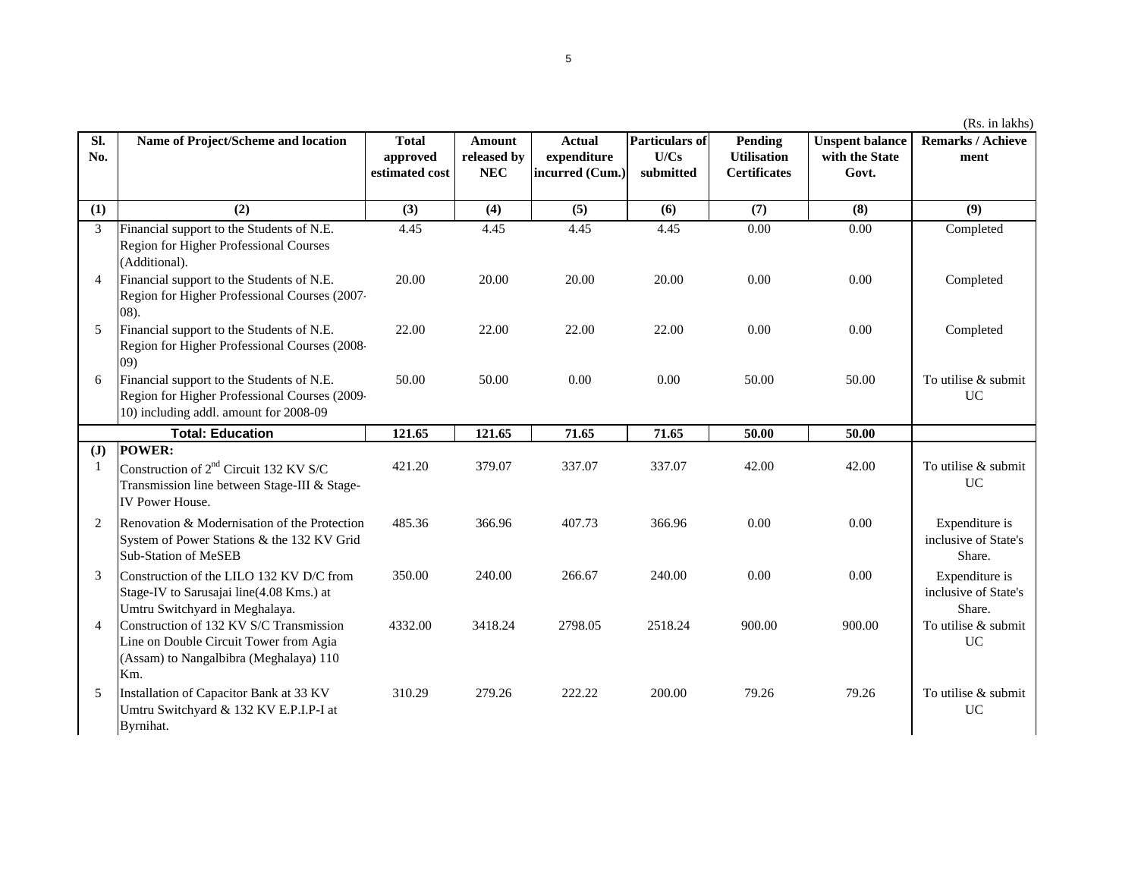|    | <b>Total</b><br>approved<br>estimated cost | Amount<br>released by<br><b>NEC</b> | <b>Actual</b><br>expenditure<br>incurred (Cum.) | Particulars of<br>U/Cs<br>submitted | Pending<br><b>Utilisation</b><br><b>Certificates</b> | <b>Unspent balance</b><br>with the State<br>Govt. | <b>Remarks / Achieve</b><br>ment |
|----|--------------------------------------------|-------------------------------------|-------------------------------------------------|-------------------------------------|------------------------------------------------------|---------------------------------------------------|----------------------------------|
|    | (3)                                        | (4)                                 | (5)                                             | (6)                                 | (7)                                                  | (8)                                               | (9)                              |
|    | 4.45                                       | 4.45                                | 4.45                                            | 4.45                                | 0.00                                                 | 0.00                                              | Completed                        |
| 7. | 20.00                                      | 20.00                               | 20.00                                           | 20.00                               | 0.00                                                 | 0.00                                              | Completed                        |
| 8. | 22.00                                      | 22.00                               | 22.00                                           | 22.00                               | 0.00                                                 | 0.00                                              | Completed                        |

(Rs. in lakhs)

| (1)          | (2)                                                                                                                                  | (3)     | (4)     | (5)     | (6)     | (7)    | (8)    | (9)                                              |
|--------------|--------------------------------------------------------------------------------------------------------------------------------------|---------|---------|---------|---------|--------|--------|--------------------------------------------------|
| 3            | Financial support to the Students of N.E.<br>Region for Higher Professional Courses<br>(Additional).                                 | 4.45    | 4.45    | 4.45    | 4.45    | 0.00   | 0.00   | Completed                                        |
| 4            | Financial support to the Students of N.E.<br>Region for Higher Professional Courses (2007-<br>$(08)$ .                               | 20.00   | 20.00   | 20.00   | 20.00   | 0.00   | 0.00   | Completed                                        |
| 5            | Financial support to the Students of N.E.<br>Region for Higher Professional Courses (2008-<br>(09)                                   | 22.00   | 22.00   | 22.00   | 22.00   | 0.00   | 0.00   | Completed                                        |
| 6            | Financial support to the Students of N.E.<br>Region for Higher Professional Courses (2009-<br>10) including addl. amount for 2008-09 | 50.00   | 50.00   | 0.00    | 0.00    | 50.00  | 50.00  | To utilise & submit<br><b>UC</b>                 |
|              | <b>Total: Education</b>                                                                                                              | 121.65  | 121.65  | 71.65   | 71.65   | 50.00  | 50.00  |                                                  |
| $\mathbf{J}$ | POWER:                                                                                                                               |         |         |         |         |        |        |                                                  |
| -1           | Construction of 2 <sup>nd</sup> Circuit 132 KV S/C<br>Transmission line between Stage-III & Stage-<br><b>IV Power House.</b>         | 421.20  | 379.07  | 337.07  | 337.07  | 42.00  | 42.00  | To utilise & submit<br><b>UC</b>                 |
| 2            | Renovation & Modernisation of the Protection<br>System of Power Stations & the 132 KV Grid<br><b>Sub-Station of MeSEB</b>            | 485.36  | 366.96  | 407.73  | 366.96  | 0.00   | 0.00   | Expenditure is<br>inclusive of State's<br>Share. |
| 3            | Construction of the LILO 132 KV D/C from<br>Stage-IV to Sarusajai line(4.08 Kms.) at<br>Umtru Switchyard in Meghalaya.               | 350.00  | 240.00  | 266.67  | 240.00  | 0.00   | 0.00   | Expenditure is<br>inclusive of State's<br>Share. |
| 4            | Construction of 132 KV S/C Transmission<br>Line on Double Circuit Tower from Agia<br>(Assam) to Nangalbibra (Meghalaya) 110<br>Km.   | 4332.00 | 3418.24 | 2798.05 | 2518.24 | 900.00 | 900.00 | To utilise & submit<br>UC                        |
| 5            | Installation of Capacitor Bank at 33 KV<br>Umtru Switchyard & 132 KV E.P.I.P-I at<br>Byrnihat.                                       | 310.29  | 279.26  | 222.22  | 200.00  | 79.26  | 79.26  | To utilise & submit<br><b>UC</b>                 |

**Sl. No.**

**Name of Project/Scheme and location**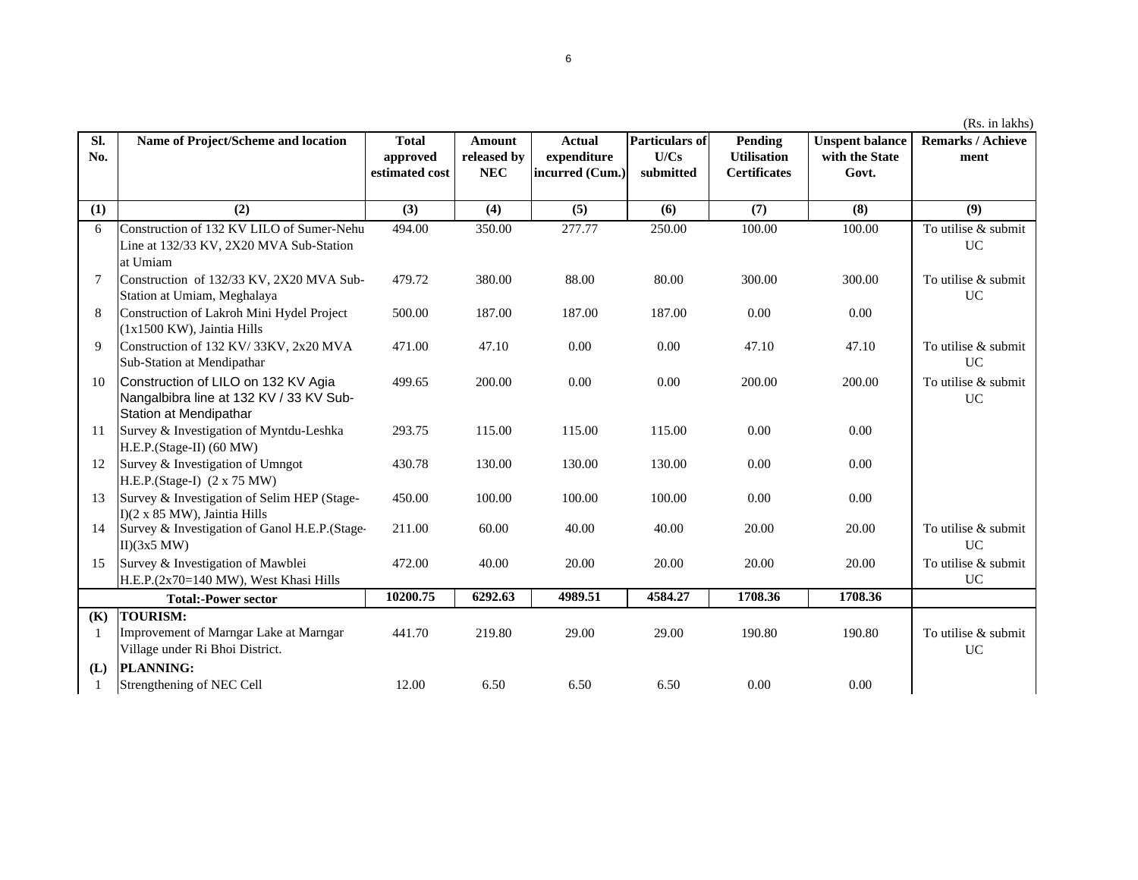|            |                                                                                                          |                                            |                                            |                                                 |                                            |                                                      |                                                   | (Rs. in lakhs)                   |
|------------|----------------------------------------------------------------------------------------------------------|--------------------------------------------|--------------------------------------------|-------------------------------------------------|--------------------------------------------|------------------------------------------------------|---------------------------------------------------|----------------------------------|
| Sl.<br>No. | Name of Project/Scheme and location                                                                      | <b>Total</b><br>approved<br>estimated cost | <b>Amount</b><br>released by<br><b>NEC</b> | <b>Actual</b><br>expenditure<br>incurred (Cum.) | <b>Particulars of</b><br>U/Cs<br>submitted | Pending<br><b>Utilisation</b><br><b>Certificates</b> | <b>Unspent balance</b><br>with the State<br>Govt. | <b>Remarks / Achieve</b><br>ment |
| (1)        | (2)                                                                                                      | (3)                                        | (4)                                        | (5)                                             | (6)                                        | (7)                                                  | (8)                                               | (9)                              |
| 6          | Construction of 132 KV LILO of Sumer-Nehu<br>Line at 132/33 KV, 2X20 MVA Sub-Station<br>at Umiam         | 494.00                                     | 350.00                                     | 277.77                                          | 250.00                                     | 100.00                                               | 100.00                                            | To utilise & submit<br><b>UC</b> |
| 7          | Construction of 132/33 KV, 2X20 MVA Sub-<br>Station at Umiam, Meghalaya                                  | 479.72                                     | 380.00                                     | 88.00                                           | 80.00                                      | 300.00                                               | 300.00                                            | To utilise & submit<br>UC        |
| 8          | Construction of Lakroh Mini Hydel Project<br>(1x1500 KW), Jaintia Hills                                  | 500.00                                     | 187.00                                     | 187.00                                          | 187.00                                     | 0.00                                                 | 0.00                                              |                                  |
| 9          | Construction of 132 KV/33KV, 2x20 MVA<br>Sub-Station at Mendipathar                                      | 471.00                                     | 47.10                                      | 0.00                                            | 0.00                                       | 47.10                                                | 47.10                                             | To utilise & submit<br>UC        |
| 10         | Construction of LILO on 132 KV Agia<br>Nangalbibra line at 132 KV / 33 KV Sub-<br>Station at Mendipathar | 499.65                                     | 200.00                                     | 0.00                                            | 0.00                                       | 200.00                                               | 200.00                                            | To utilise & submit<br><b>UC</b> |
| 11         | Survey & Investigation of Myntdu-Leshka<br>H.E.P.(Stage-II) (60 MW)                                      | 293.75                                     | 115.00                                     | 115.00                                          | 115.00                                     | 0.00                                                 | 0.00                                              |                                  |
| 12         | Survey & Investigation of Umngot<br>H.E.P.(Stage-I) (2 x 75 MW)                                          | 430.78                                     | 130.00                                     | 130.00                                          | 130.00                                     | 0.00                                                 | 0.00                                              |                                  |
| 13         | Survey & Investigation of Selim HEP (Stage-<br>I)(2 x 85 MW), Jaintia Hills                              | 450.00                                     | 100.00                                     | 100.00                                          | 100.00                                     | 0.00                                                 | 0.00                                              |                                  |
| 14         | Survey & Investigation of Ganol H.E.P.(Stage-<br>II)(3x5 MW)                                             | 211.00                                     | 60.00                                      | 40.00                                           | 40.00                                      | 20.00                                                | 20.00                                             | To utilise & submit<br><b>UC</b> |
| 15         | Survey & Investigation of Mawblei<br>H.E.P.(2x70=140 MW), West Khasi Hills                               | 472.00                                     | 40.00                                      | 20.00                                           | 20.00                                      | 20.00                                                | 20.00                                             | To utilise & submit<br><b>UC</b> |
|            | <b>Total:-Power sector</b>                                                                               | 10200.75                                   | 6292.63                                    | 4989.51                                         | 4584.27                                    | 1708.36                                              | 1708.36                                           |                                  |
| (K)<br>-1  | <b>TOURISM:</b><br>Improvement of Marngar Lake at Marngar<br>Village under Ri Bhoi District.             | 441.70                                     | 219.80                                     | 29.00                                           | 29.00                                      | 190.80                                               | 190.80                                            | To utilise & submit<br>UC        |
| (L)        | PLANNING:<br>Strengthening of NEC Cell                                                                   | 12.00                                      | 6.50                                       | 6.50                                            | 6.50                                       | 0.00                                                 | 0.00                                              |                                  |
|            |                                                                                                          |                                            |                                            |                                                 |                                            |                                                      |                                                   |                                  |